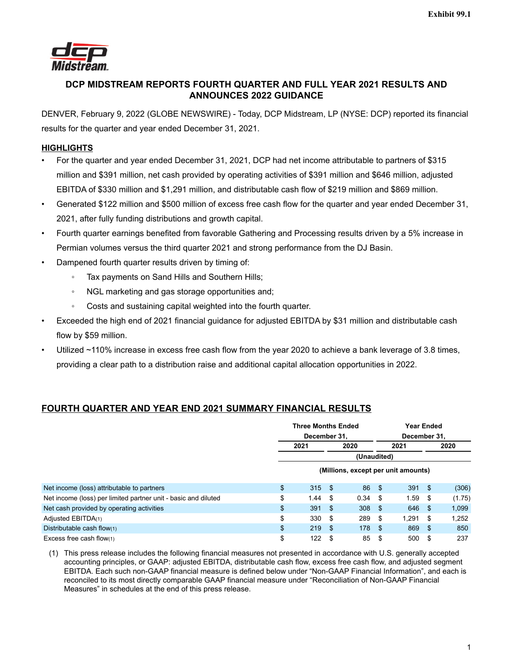

# **DCP MIDSTREAM REPORTS FOURTH QUARTER AND FULL YEAR 2021 RESULTS AND ANNOUNCES 2022 GUIDANCE**

DENVER, February 9, 2022 (GLOBE NEWSWIRE) - Today, DCP Midstream, LP (NYSE: DCP) reported its financial results for the quarter and year ended December 31, 2021.

# **HIGHLIGHTS**

- For the quarter and year ended December 31, 2021, DCP had net income attributable to partners of \$315 million and \$391 million, net cash provided by operating activities of \$391 million and \$646 million, adjusted EBITDA of \$330 million and \$1,291 million, and distributable cash flow of \$219 million and \$869 million.
- Generated \$122 million and \$500 million of excess free cash flow for the quarter and year ended December 31, 2021, after fully funding distributions and growth capital.
- Fourth quarter earnings benefited from favorable Gathering and Processing results driven by a 5% increase in Permian volumes versus the third quarter 2021 and strong performance from the DJ Basin.
- Dampened fourth quarter results driven by timing of:
	- Tax payments on Sand Hills and Southern Hills;
	- NGL marketing and gas storage opportunities and;
	- Costs and sustaining capital weighted into the fourth quarter.
- Exceeded the high end of 2021 financial guidance for adjusted EBITDA by \$31 million and distributable cash flow by \$59 million.
- Utilized ~110% increase in excess free cash flow from the year 2020 to achieve a bank leverage of 3.8 times, providing a clear path to a distribution raise and additional capital allocation opportunities in 2022.

# **FOURTH QUARTER AND YEAR END 2021 SUMMARY FINANCIAL RESULTS**

|                                                                | <b>Three Months Ended</b><br>December 31. |             |                                     | <b>Year Ended</b><br>December 31. |          |    |        |  |  |
|----------------------------------------------------------------|-------------------------------------------|-------------|-------------------------------------|-----------------------------------|----------|----|--------|--|--|
|                                                                | 2020<br>2021                              |             |                                     |                                   | 2021     |    | 2020   |  |  |
|                                                                |                                           | (Unaudited) |                                     |                                   |          |    |        |  |  |
|                                                                |                                           |             | (Millions, except per unit amounts) |                                   |          |    |        |  |  |
| Net income (loss) attributable to partners                     | \$<br>$315 \quad $$                       |             | 86                                  | $\mathsf{S}$                      | $391$ \$ |    | (306)  |  |  |
| Net income (loss) per limited partner unit - basic and diluted | \$<br>1.44                                | -\$         | $0.34$ \$                           |                                   | 1.59     | \$ | (1.75) |  |  |
| Net cash provided by operating activities                      | \$<br>391                                 | -\$         | 308 <sup>5</sup>                    |                                   | 646      | \$ | 1,099  |  |  |
| Adjusted EBITDA(1)                                             | \$<br>330                                 | \$          | 289                                 | - \$                              | 1.291    | S  | 1,252  |  |  |
| Distributable cash flow(1)                                     | \$<br>219                                 | -\$         | 178 \$                              |                                   | 869      | \$ | 850    |  |  |
| Excess free cash flow $(1)$                                    | \$<br>122                                 | S           | 85                                  | S                                 | 500      | S  | 237    |  |  |

(1) This press release includes the following financial measures not presented in accordance with U.S. generally accepted accounting principles, or GAAP: adjusted EBITDA, distributable cash flow, excess free cash flow, and adjusted segment EBITDA. Each such non-GAAP financial measure is defined below under "Non-GAAP Financial Information", and each is reconciled to its most directly comparable GAAP financial measure under "Reconciliation of Non-GAAP Financial Measures" in schedules at the end of this press release.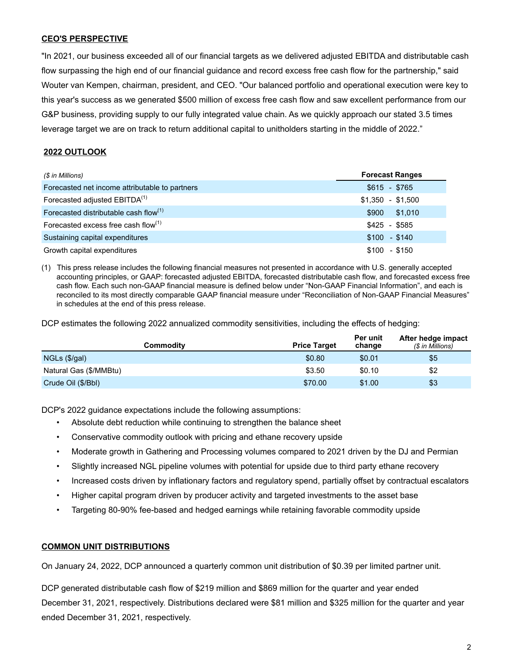## **CEO'S PERSPECTIVE**

"In 2021, our business exceeded all of our financial targets as we delivered adjusted EBITDA and distributable cash flow surpassing the high end of our financial guidance and record excess free cash flow for the partnership," said Wouter van Kempen, chairman, president, and CEO. "Our balanced portfolio and operational execution were key to this year's success as we generated \$500 million of excess free cash flow and saw excellent performance from our G&P business, providing supply to our fully integrated value chain. As we quickly approach our stated 3.5 times leverage target we are on track to return additional capital to unitholders starting in the middle of 2022."

## **2022 OUTLOOK**

| (\$ in Millions)                               | <b>Forecast Ranges</b> |
|------------------------------------------------|------------------------|
| Forecasted net income attributable to partners | $$615 - $765$          |
| Forecasted adjusted EBITDA <sup>(1)</sup>      | $$1.350 - $1.500$      |
| Forecasted distributable cash flow(1)          | \$1,010<br>\$900       |
| Forecasted excess free cash flow $(1)$         | \$425 - \$585          |
| Sustaining capital expenditures                | $$100 - $140$          |
| Growth capital expenditures                    | $$100 - $150$          |

(1) This press release includes the following financial measures not presented in accordance with U.S. generally accepted accounting principles, or GAAP: forecasted adjusted EBITDA, forecasted distributable cash flow, and forecasted excess free cash flow. Each such non-GAAP financial measure is defined below under "Non-GAAP Financial Information", and each is reconciled to its most directly comparable GAAP financial measure under "Reconciliation of Non-GAAP Financial Measures" in schedules at the end of this press release.

DCP estimates the following 2022 annualized commodity sensitivities, including the effects of hedging:

| Commodity              | <b>Price Target</b> | Per unit<br>change | After hedge impact<br>(\$ in Millions) |
|------------------------|---------------------|--------------------|----------------------------------------|
| NGLs (\$/gal)          | \$0.80              | \$0.01             | \$5                                    |
| Natural Gas (\$/MMBtu) | \$3.50              | \$0.10             | \$2                                    |
| Crude Oil (\$/Bbl)     | \$70.00             | \$1.00             | \$3                                    |

DCP's 2022 guidance expectations include the following assumptions:

- Absolute debt reduction while continuing to strengthen the balance sheet
- Conservative commodity outlook with pricing and ethane recovery upside
- Moderate growth in Gathering and Processing volumes compared to 2021 driven by the DJ and Permian
- Slightly increased NGL pipeline volumes with potential for upside due to third party ethane recovery
- Increased costs driven by inflationary factors and regulatory spend, partially offset by contractual escalators
- Higher capital program driven by producer activity and targeted investments to the asset base
- Targeting 80-90% fee-based and hedged earnings while retaining favorable commodity upside

#### **COMMON UNIT DISTRIBUTIONS**

On January 24, 2022, DCP announced a quarterly common unit distribution of \$0.39 per limited partner unit.

DCP generated distributable cash flow of \$219 million and \$869 million for the quarter and year ended December 31, 2021, respectively. Distributions declared were \$81 million and \$325 million for the quarter and year ended December 31, 2021, respectively.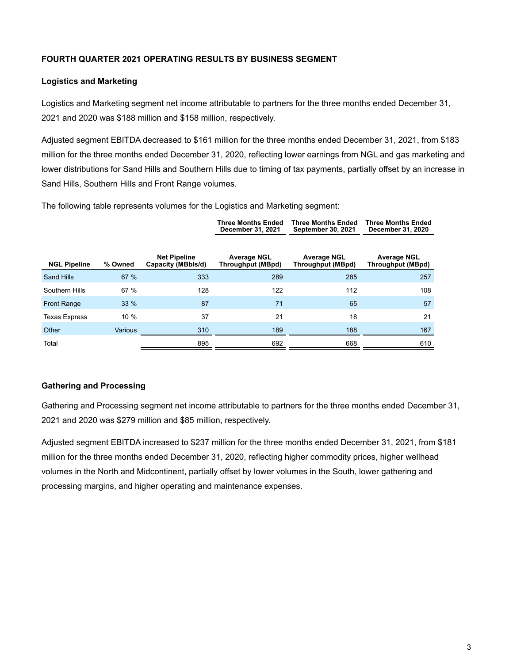## **FOURTH QUARTER 2021 OPERATING RESULTS BY BUSINESS SEGMENT**

### **Logistics and Marketing**

Logistics and Marketing segment net income attributable to partners for the three months ended December 31, 2021 and 2020 was \$188 million and \$158 million, respectively.

Adjusted segment EBITDA decreased to \$161 million for the three months ended December 31, 2021, from \$183 million for the three months ended December 31, 2020, reflecting lower earnings from NGL and gas marketing and lower distributions for Sand Hills and Southern Hills due to timing of tax payments, partially offset by an increase in Sand Hills, Southern Hills and Front Range volumes.

The following table represents volumes for the Logistics and Marketing segment:

|                      |                |                                           | <b>Three Months Ended</b><br>December 31, 2021 | <b>Three Months Ended</b><br><b>September 30, 2021</b> | <b>Three Months Ended</b><br>December 31, 2020 |
|----------------------|----------------|-------------------------------------------|------------------------------------------------|--------------------------------------------------------|------------------------------------------------|
| <b>NGL Pipeline</b>  | % Owned        | <b>Net Pipeline</b><br>Capacity (MBbls/d) | <b>Average NGL</b><br><b>Throughput (MBpd)</b> | <b>Average NGL</b><br><b>Throughput (MBpd)</b>         | <b>Average NGL</b><br><b>Throughput (MBpd)</b> |
| Sand Hills           | 67%            | 333                                       | 289                                            | 285                                                    | 257                                            |
| Southern Hills       | 67 %           | 128                                       | 122                                            | 112                                                    | 108                                            |
| <b>Front Range</b>   | $33\%$         | 87                                        | 71                                             | 65                                                     | 57                                             |
| <b>Texas Express</b> | 10%            | 37                                        | 21                                             | 18                                                     | 21                                             |
| Other                | <b>Various</b> | 310                                       | 189                                            | 188                                                    | 167                                            |
| Total                |                | 895                                       | 692                                            | 668                                                    | 610                                            |

### **Gathering and Processing**

Gathering and Processing segment net income attributable to partners for the three months ended December 31, 2021 and 2020 was \$279 million and \$85 million, respectively.

Adjusted segment EBITDA increased to \$237 million for the three months ended December 31, 2021, from \$181 million for the three months ended December 31, 2020, reflecting higher commodity prices, higher wellhead volumes in the North and Midcontinent, partially offset by lower volumes in the South, lower gathering and processing margins, and higher operating and maintenance expenses.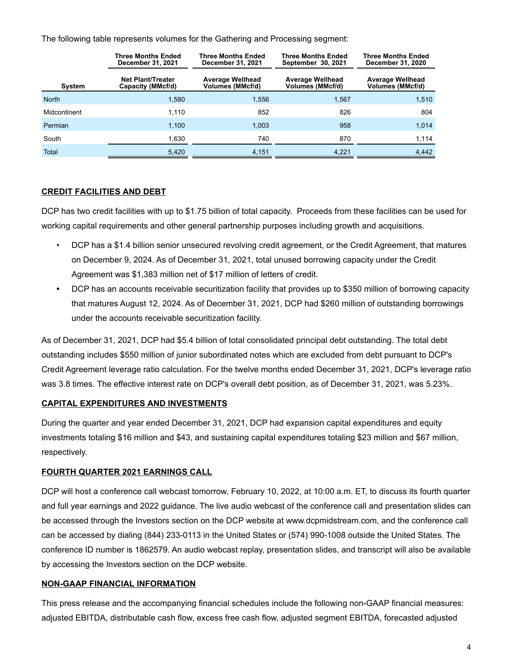The following table represents volumes for the Gathering and Processing segment:

|               | <b>Three Months Ended</b><br>December 31, 2021 | <b>Three Months Ended</b><br><b>December 31, 2021</b> | <b>Three Months Ended</b><br>September 30, 2021 | <b>Three Months Ended</b><br><b>December 31, 2020</b> |
|---------------|------------------------------------------------|-------------------------------------------------------|-------------------------------------------------|-------------------------------------------------------|
| <b>System</b> | <b>Net Plant/Treater</b><br>Capacity (MMcf/d)  | <b>Average Wellhead</b><br>Volumes (MMcf/d)           | <b>Average Wellhead</b><br>Volumes (MMcf/d)     | <b>Average Wellhead</b><br>Volumes (MMcf/d)           |
| <b>North</b>  | 1.580                                          | 1.556                                                 | 1.567                                           | 1.510                                                 |
| Midcontinent  | 1.110                                          | 852                                                   | 826                                             | 804                                                   |
| Permian       | 1,100                                          | 1.003                                                 | 958                                             | 1,014                                                 |
| South         | 1,630                                          | 740                                                   | 870                                             | 1,114                                                 |
| Total         | 5,420                                          | 4,151                                                 | 4,221                                           | 4,442                                                 |

### **CREDIT FACILITIES AND DEBT**

DCP has two credit facilities with up to \$1.75 billion of total capacity. Proceeds from these facilities can be used for working capital requirements and other general partnership purposes including growth and acquisitions.

- DCP has a \$1.4 billion senior unsecured revolving credit agreement, or the Credit Agreement, that matures on December 9, 2024. As of December 31, 2021, total unused borrowing capacity under the Credit Agreement was \$1,383 million net of \$17 million of letters of credit.
- **•** DCP has an accounts receivable securitization facility that provides up to \$350 million of borrowing capacity that matures August 12, 2024. As of December 31, 2021, DCP had \$260 million of outstanding borrowings under the accounts receivable securitization facility.

As of December 31, 2021, DCP had \$5.4 billion of total consolidated principal debt outstanding. The total debt outstanding includes \$550 million of junior subordinated notes which are excluded from debt pursuant to DCP's Credit Agreement leverage ratio calculation. For the twelve months ended December 31, 2021, DCP's leverage ratio was 3.8 times. The effective interest rate on DCP's overall debt position, as of December 31, 2021, was 5.23%.

### **CAPITAL EXPENDITURES AND INVESTMENTS**

During the quarter and year ended December 31, 2021, DCP had expansion capital expenditures and equity investments totaling \$16 million and \$43, and sustaining capital expenditures totaling \$23 million and \$67 million, respectively.

# **FOURTH QUARTER 2021 EARNINGS CALL**

DCP will host a conference call webcast tomorrow, February 10, 2022, at 10:00 a.m. ET, to discuss its fourth quarter and full year earnings and 2022 guidance. The live audio webcast of the conference call and presentation slides can be accessed through the Investors section on the DCP website at www.dcpmidstream.com, and the conference call can be accessed by dialing (844) 233-0113 in the United States or (574) 990-1008 outside the United States. The conference ID number is 1862579. An audio webcast replay, presentation slides, and transcript will also be available by accessing the Investors section on the DCP website.

### **NON-GAAP FINANCIAL INFORMATION**

This press release and the accompanying financial schedules include the following non-GAAP financial measures: adjusted EBITDA, distributable cash flow, excess free cash flow, adjusted segment EBITDA, forecasted adjusted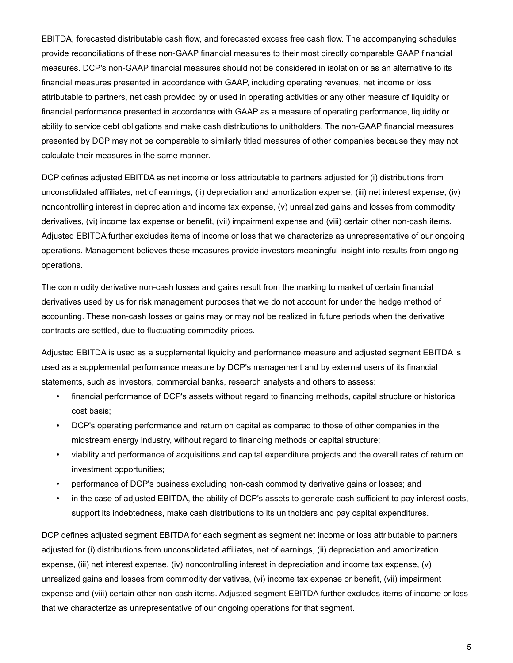EBITDA, forecasted distributable cash flow, and forecasted excess free cash flow. The accompanying schedules provide reconciliations of these non-GAAP financial measures to their most directly comparable GAAP financial measures. DCP's non-GAAP financial measures should not be considered in isolation or as an alternative to its financial measures presented in accordance with GAAP, including operating revenues, net income or loss attributable to partners, net cash provided by or used in operating activities or any other measure of liquidity or financial performance presented in accordance with GAAP as a measure of operating performance, liquidity or ability to service debt obligations and make cash distributions to unitholders. The non-GAAP financial measures presented by DCP may not be comparable to similarly titled measures of other companies because they may not calculate their measures in the same manner.

DCP defines adjusted EBITDA as net income or loss attributable to partners adjusted for (i) distributions from unconsolidated affiliates, net of earnings, (ii) depreciation and amortization expense, (iii) net interest expense, (iv) noncontrolling interest in depreciation and income tax expense, (v) unrealized gains and losses from commodity derivatives, (vi) income tax expense or benefit, (vii) impairment expense and (viii) certain other non-cash items. Adjusted EBITDA further excludes items of income or loss that we characterize as unrepresentative of our ongoing operations. Management believes these measures provide investors meaningful insight into results from ongoing operations.

The commodity derivative non-cash losses and gains result from the marking to market of certain financial derivatives used by us for risk management purposes that we do not account for under the hedge method of accounting. These non-cash losses or gains may or may not be realized in future periods when the derivative contracts are settled, due to fluctuating commodity prices.

Adjusted EBITDA is used as a supplemental liquidity and performance measure and adjusted segment EBITDA is used as a supplemental performance measure by DCP's management and by external users of its financial statements, such as investors, commercial banks, research analysts and others to assess:

- financial performance of DCP's assets without regard to financing methods, capital structure or historical cost basis;
- DCP's operating performance and return on capital as compared to those of other companies in the midstream energy industry, without regard to financing methods or capital structure;
- viability and performance of acquisitions and capital expenditure projects and the overall rates of return on investment opportunities;
- performance of DCP's business excluding non-cash commodity derivative gains or losses; and
- in the case of adjusted EBITDA, the ability of DCP's assets to generate cash sufficient to pay interest costs, support its indebtedness, make cash distributions to its unitholders and pay capital expenditures.

DCP defines adjusted segment EBITDA for each segment as segment net income or loss attributable to partners adjusted for (i) distributions from unconsolidated affiliates, net of earnings, (ii) depreciation and amortization expense, (iii) net interest expense, (iv) noncontrolling interest in depreciation and income tax expense, (v) unrealized gains and losses from commodity derivatives, (vi) income tax expense or benefit, (vii) impairment expense and (viii) certain other non-cash items. Adjusted segment EBITDA further excludes items of income or loss that we characterize as unrepresentative of our ongoing operations for that segment.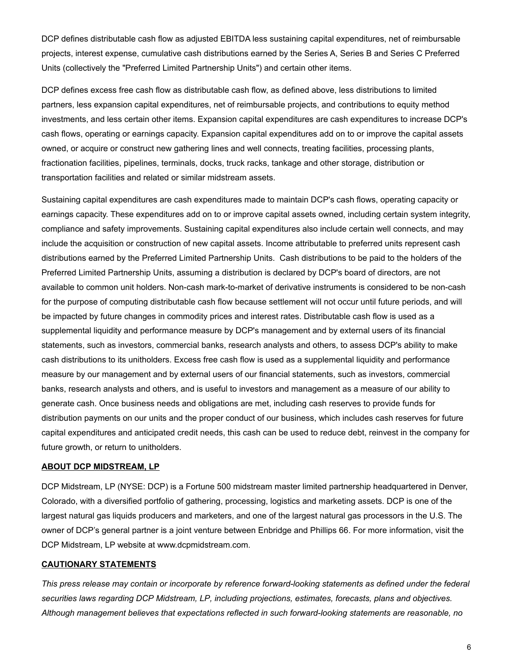DCP defines distributable cash flow as adjusted EBITDA less sustaining capital expenditures, net of reimbursable projects, interest expense, cumulative cash distributions earned by the Series A, Series B and Series C Preferred Units (collectively the "Preferred Limited Partnership Units") and certain other items.

DCP defines excess free cash flow as distributable cash flow, as defined above, less distributions to limited partners, less expansion capital expenditures, net of reimbursable projects, and contributions to equity method investments, and less certain other items. Expansion capital expenditures are cash expenditures to increase DCP's cash flows, operating or earnings capacity. Expansion capital expenditures add on to or improve the capital assets owned, or acquire or construct new gathering lines and well connects, treating facilities, processing plants, fractionation facilities, pipelines, terminals, docks, truck racks, tankage and other storage, distribution or transportation facilities and related or similar midstream assets.

Sustaining capital expenditures are cash expenditures made to maintain DCP's cash flows, operating capacity or earnings capacity. These expenditures add on to or improve capital assets owned, including certain system integrity, compliance and safety improvements. Sustaining capital expenditures also include certain well connects, and may include the acquisition or construction of new capital assets. Income attributable to preferred units represent cash distributions earned by the Preferred Limited Partnership Units. Cash distributions to be paid to the holders of the Preferred Limited Partnership Units, assuming a distribution is declared by DCP's board of directors, are not available to common unit holders. Non-cash mark-to-market of derivative instruments is considered to be non-cash for the purpose of computing distributable cash flow because settlement will not occur until future periods, and will be impacted by future changes in commodity prices and interest rates. Distributable cash flow is used as a supplemental liquidity and performance measure by DCP's management and by external users of its financial statements, such as investors, commercial banks, research analysts and others, to assess DCP's ability to make cash distributions to its unitholders. Excess free cash flow is used as a supplemental liquidity and performance measure by our management and by external users of our financial statements, such as investors, commercial banks, research analysts and others, and is useful to investors and management as a measure of our ability to generate cash. Once business needs and obligations are met, including cash reserves to provide funds for distribution payments on our units and the proper conduct of our business, which includes cash reserves for future capital expenditures and anticipated credit needs, this cash can be used to reduce debt, reinvest in the company for future growth, or return to unitholders.

#### **ABOUT DCP MIDSTREAM, LP**

DCP Midstream, LP (NYSE: DCP) is a Fortune 500 midstream master limited partnership headquartered in Denver, Colorado, with a diversified portfolio of gathering, processing, logistics and marketing assets. DCP is one of the largest natural gas liquids producers and marketers, and one of the largest natural gas processors in the U.S. The owner of DCP's general partner is a joint venture between Enbridge and Phillips 66. For more information, visit the DCP Midstream, LP website at www.dcpmidstream.com.

#### **CAUTIONARY STATEMENTS**

*This press release may contain or incorporate by reference forward-looking statements as defined under the federal securities laws regarding DCP Midstream, LP, including projections, estimates, forecasts, plans and objectives. Although management believes that expectations reflected in such forward-looking statements are reasonable, no*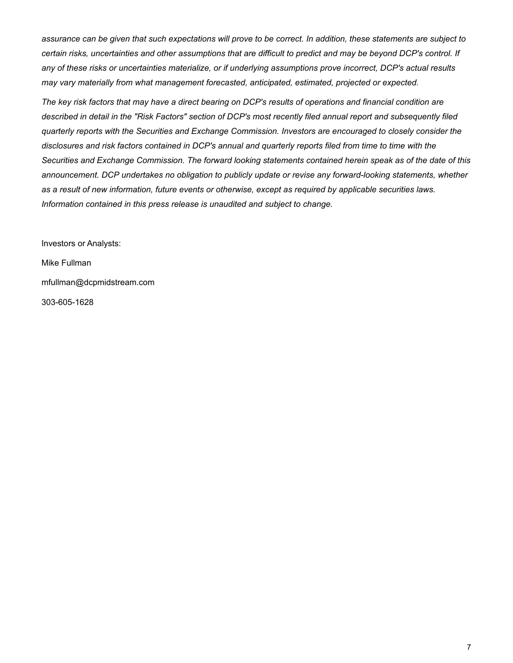*assurance can be given that such expectations will prove to be correct. In addition, these statements are subject to certain risks, uncertainties and other assumptions that are difficult to predict and may be beyond DCP's control. If any of these risks or uncertainties materialize, or if underlying assumptions prove incorrect, DCP's actual results may vary materially from what management forecasted, anticipated, estimated, projected or expected.*

*The key risk factors that may have a direct bearing on DCP's results of operations and financial condition are described in detail in the "Risk Factors" section of DCP's most recently filed annual report and subsequently filed quarterly reports with the Securities and Exchange Commission. Investors are encouraged to closely consider the disclosures and risk factors contained in DCP's annual and quarterly reports filed from time to time with the Securities and Exchange Commission. The forward looking statements contained herein speak as of the date of this announcement. DCP undertakes no obligation to publicly update or revise any forward-looking statements, whether as a result of new information, future events or otherwise, except as required by applicable securities laws. Information contained in this press release is unaudited and subject to change.*

Investors or Analysts: Mike Fullman mfullman@dcpmidstream.com 303-605-1628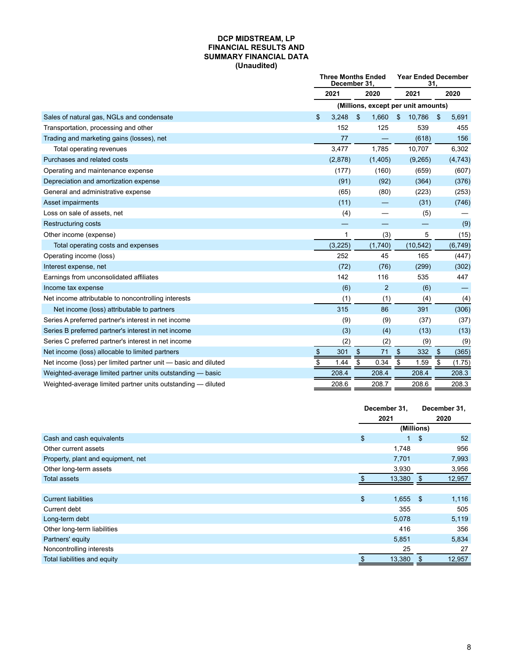#### **DCP MIDSTREAM, LP FINANCIAL RESULTS AND SUMMARY FINANCIAL DATA (Unaudited)**

|                                                                | <b>Three Months Ended</b><br>December 31. |          |                           | <b>Year Ended December</b><br>31. |      |                                     |                           |          |
|----------------------------------------------------------------|-------------------------------------------|----------|---------------------------|-----------------------------------|------|-------------------------------------|---------------------------|----------|
|                                                                |                                           | 2021     | 2020                      |                                   | 2021 |                                     |                           | 2020     |
|                                                                |                                           |          |                           |                                   |      | (Millions, except per unit amounts) |                           |          |
| Sales of natural gas, NGLs and condensate                      | \$                                        | 3.248    | \$                        | 1,660                             | \$   | 10,786                              | \$                        | 5,691    |
| Transportation, processing and other                           |                                           | 152      |                           | 125                               |      | 539                                 |                           | 455      |
| Trading and marketing gains (losses), net                      |                                           | 77       |                           |                                   |      | (618)                               |                           | 156      |
| Total operating revenues                                       |                                           | 3,477    |                           | 1,785                             |      | 10,707                              |                           | 6,302    |
| Purchases and related costs                                    |                                           | (2,878)  |                           | (1,405)                           |      | (9,265)                             |                           | (4, 743) |
| Operating and maintenance expense                              |                                           | (177)    |                           | (160)                             |      | (659)                               |                           | (607)    |
| Depreciation and amortization expense                          |                                           | (91)     |                           | (92)                              |      | (364)                               |                           | (376)    |
| General and administrative expense                             |                                           | (65)     |                           | (80)                              |      | (223)                               |                           | (253)    |
| Asset impairments                                              |                                           | (11)     |                           |                                   |      | (31)                                |                           | (746)    |
| Loss on sale of assets, net                                    |                                           | (4)      |                           |                                   |      | (5)                                 |                           |          |
| <b>Restructuring costs</b>                                     |                                           |          |                           |                                   |      |                                     |                           | (9)      |
| Other income (expense)                                         |                                           | 1        |                           | (3)                               |      | 5                                   |                           | (15)     |
| Total operating costs and expenses                             |                                           | (3, 225) |                           | (1,740)                           |      | (10, 542)                           |                           | (6, 749) |
| Operating income (loss)                                        |                                           | 252      |                           | 45                                |      | 165                                 |                           | (447)    |
| Interest expense, net                                          |                                           | (72)     |                           | (76)                              |      | (299)                               |                           | (302)    |
| Earnings from unconsolidated affiliates                        |                                           | 142      |                           | 116                               |      | 535                                 |                           | 447      |
| Income tax expense                                             |                                           | (6)      |                           | $\overline{2}$                    |      | (6)                                 |                           |          |
| Net income attributable to noncontrolling interests            |                                           | (1)      |                           | (1)                               |      | (4)                                 |                           | (4)      |
| Net income (loss) attributable to partners                     |                                           | 315      |                           | 86                                |      | 391                                 |                           | (306)    |
| Series A preferred partner's interest in net income            |                                           | (9)      |                           | (9)                               |      | (37)                                |                           | (37)     |
| Series B preferred partner's interest in net income            |                                           | (3)      |                           | (4)                               |      | (13)                                |                           | (13)     |
| Series C preferred partner's interest in net income            |                                           | (2)      |                           | (2)                               |      | (9)                                 |                           | (9)      |
| Net income (loss) allocable to limited partners                | \$                                        | 301      | $\boldsymbol{\mathsf{S}}$ | 71                                | \$   | 332                                 | $\boldsymbol{\mathsf{S}}$ | (365)    |
| Net income (loss) per limited partner unit - basic and diluted | \$                                        | 1.44     | \$                        | 0.34                              | \$   | 1.59                                | \$                        | (1.75)   |
| Weighted-average limited partner units outstanding - basic     |                                           | 208.4    |                           | 208.4                             |      | 208.4                               |                           | 208.3    |
| Weighted-average limited partner units outstanding — diluted   |                                           | 208.6    |                           | 208.7                             |      | 208.6                               |                           | 208.3    |

|                                    | December 31,<br>2021 |            | December 31,<br>2020 |
|------------------------------------|----------------------|------------|----------------------|
|                                    |                      | (Millions) |                      |
| Cash and cash equivalents          | \$<br>$\blacksquare$ | \$         | 52                   |
| Other current assets               | 1,748                |            | 956                  |
| Property, plant and equipment, net | 7,701                |            | 7,993                |
| Other long-term assets             | 3,930                |            | 3,956                |
| <b>Total assets</b>                | 13,380               | -S         | 12,957               |
|                                    |                      |            |                      |
| <b>Current liabilities</b>         | \$<br>$1,655$ \$     |            | 1,116                |
| Current debt                       | 355                  |            | 505                  |
| Long-term debt                     | 5,078                |            | 5,119                |
| Other long-term liabilities        | 416                  |            | 356                  |
| Partners' equity                   | 5,851                |            | 5,834                |
| Noncontrolling interests           | 25                   |            | 27                   |
| Total liabilities and equity       | \$<br>13,380         | \$         | 12,957               |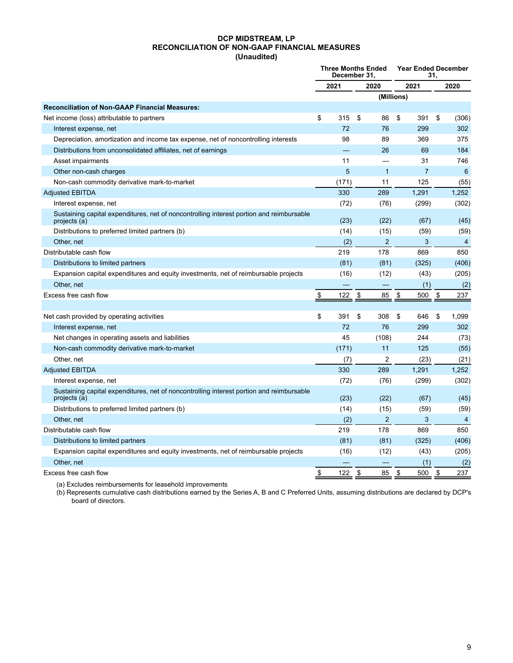#### **DCP MIDSTREAM, LP RECONCILIATION OF NON-GAAP FINANCIAL MEASURES (Unaudited)**

|                                                                                                          | <b>Three Months Ended</b><br>December 31. |       |      | <b>Year Ended December</b><br>31. |      |                |    |                |
|----------------------------------------------------------------------------------------------------------|-------------------------------------------|-------|------|-----------------------------------|------|----------------|----|----------------|
|                                                                                                          | 2021                                      |       | 2020 |                                   | 2021 |                |    | 2020           |
|                                                                                                          |                                           |       |      | (Millions)                        |      |                |    |                |
| <b>Reconciliation of Non-GAAP Financial Measures:</b>                                                    |                                           |       |      |                                   |      |                |    |                |
| Net income (loss) attributable to partners                                                               | \$                                        | 315   | \$   | 86                                | \$   | 391            | \$ | (306)          |
| Interest expense, net                                                                                    |                                           | 72    |      | 76                                |      | 299            |    | 302            |
| Depreciation, amortization and income tax expense, net of noncontrolling interests                       |                                           | 98    |      | 89                                |      | 369            |    | 375            |
| Distributions from unconsolidated affiliates, net of earnings                                            |                                           |       |      | 26                                |      | 69             |    | 184            |
| Asset impairments                                                                                        |                                           | 11    |      |                                   |      | 31             |    | 746            |
| Other non-cash charges                                                                                   |                                           | 5     |      | 1                                 |      | $\overline{7}$ |    | 6              |
| Non-cash commodity derivative mark-to-market                                                             |                                           | (171) |      | 11                                |      | 125            |    | (55)           |
| <b>Adjusted EBITDA</b>                                                                                   |                                           | 330   |      | 289                               |      | 1.291          |    | 1,252          |
| Interest expense, net                                                                                    |                                           | (72)  |      | (76)                              |      | (299)          |    | (302)          |
| Sustaining capital expenditures, net of noncontrolling interest portion and reimbursable<br>projects (a) |                                           | (23)  |      | (22)                              |      | (67)           |    | (45)           |
| Distributions to preferred limited partners (b)                                                          |                                           | (14)  |      | (15)                              |      | (59)           |    | (59)           |
| Other, net                                                                                               |                                           | (2)   |      | 2                                 |      | 3              |    | 4              |
| Distributable cash flow                                                                                  |                                           | 219   |      | 178                               |      | 869            |    | 850            |
| Distributions to limited partners                                                                        |                                           | (81)  |      | (81)                              |      | (325)          |    | (406)          |
| Expansion capital expenditures and equity investments, net of reimbursable projects                      |                                           | (16)  |      | (12)                              |      | (43)           |    | (205)          |
| Other, net                                                                                               |                                           |       |      |                                   |      | (1)            |    | (2)            |
| Excess free cash flow                                                                                    | \$                                        | 122   | \$   | 85                                | \$   | 500            | \$ | 237            |
|                                                                                                          |                                           |       |      |                                   |      |                |    |                |
| Net cash provided by operating activities                                                                | \$                                        | 391   | \$   | 308                               | \$   | 646            | \$ | 1,099          |
| Interest expense, net                                                                                    |                                           | 72    |      | 76                                |      | 299            |    | 302            |
| Net changes in operating assets and liabilities                                                          |                                           | 45    |      | (108)                             |      | 244            |    | (73)           |
| Non-cash commodity derivative mark-to-market                                                             |                                           | (171) |      | 11                                |      | 125            |    | (55)           |
| Other, net                                                                                               |                                           | (7)   |      | 2                                 |      | (23)           |    | (21)           |
| <b>Adjusted EBITDA</b>                                                                                   |                                           | 330   |      | 289                               |      | 1,291          |    | 1,252          |
| Interest expense, net                                                                                    |                                           | (72)  |      | (76)                              |      | (299)          |    | (302)          |
| Sustaining capital expenditures, net of noncontrolling interest portion and reimbursable<br>projects (a) |                                           | (23)  |      | (22)                              |      | (67)           |    | (45)           |
| Distributions to preferred limited partners (b)                                                          |                                           | (14)  |      | (15)                              |      | (59)           |    | (59)           |
| Other, net                                                                                               |                                           | (2)   |      | $\overline{2}$                    |      | 3              |    | $\overline{4}$ |
| Distributable cash flow                                                                                  |                                           | 219   |      | 178                               |      | 869            |    | 850            |
| Distributions to limited partners                                                                        |                                           | (81)  |      | (81)                              |      | (325)          |    | (406)          |
| Expansion capital expenditures and equity investments, net of reimbursable projects                      |                                           | (16)  |      | (12)                              |      | (43)           |    | (205)          |
| Other, net                                                                                               |                                           |       |      |                                   |      | (1)            |    | (2)            |
| Excess free cash flow                                                                                    | \$                                        | 122   | \$   | 85                                | \$   | 500            | \$ | 237            |

(a) Excludes reimbursements for leasehold improvements

(b) Represents cumulative cash distributions earned by the Series A, B and C Preferred Units, assuming distributions are declared by DCP's board of directors.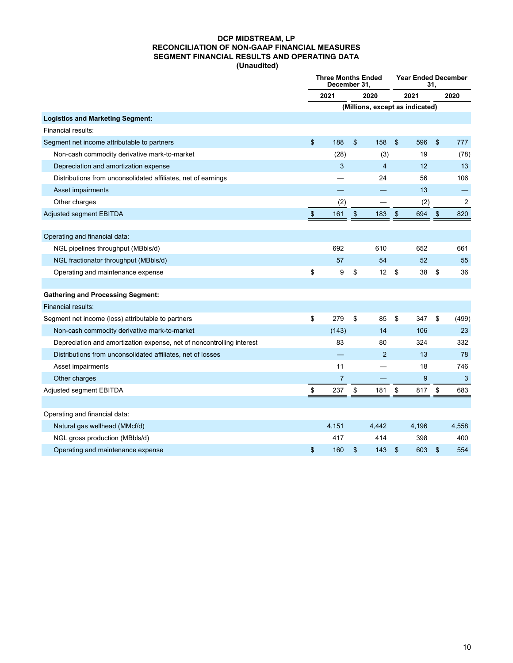#### **DCP MIDSTREAM, LP RECONCILIATION OF NON-GAAP FINANCIAL MEASURES SEGMENT FINANCIAL RESULTS AND OPERATING DATA (Unaudited)**

|                                                                       |               | <b>Three Months Ended</b><br>December 31, |    |                                 |                           | <b>Year Ended December</b><br>31. |                |                |  |
|-----------------------------------------------------------------------|---------------|-------------------------------------------|----|---------------------------------|---------------------------|-----------------------------------|----------------|----------------|--|
|                                                                       |               | 2021                                      |    | 2020                            | 2021                      |                                   | 2020           |                |  |
|                                                                       |               |                                           |    | (Millions, except as indicated) |                           |                                   |                |                |  |
| <b>Logistics and Marketing Segment:</b>                               |               |                                           |    |                                 |                           |                                   |                |                |  |
| Financial results:                                                    |               |                                           |    |                                 |                           |                                   |                |                |  |
| Segment net income attributable to partners                           | \$            | 188                                       | \$ | 158                             | $\boldsymbol{\mathsf{s}}$ | 596                               | \$             | 777            |  |
| Non-cash commodity derivative mark-to-market                          |               | (28)                                      |    | (3)                             |                           | 19                                |                | (78)           |  |
| Depreciation and amortization expense                                 |               | 3                                         |    | $\overline{4}$                  |                           | 12                                |                | 13             |  |
| Distributions from unconsolidated affiliates, net of earnings         |               |                                           |    | 24                              |                           | 56                                |                | 106            |  |
| Asset impairments                                                     |               |                                           |    |                                 |                           | 13                                |                |                |  |
| Other charges                                                         |               | (2)                                       |    |                                 |                           | (2)                               |                | $\overline{c}$ |  |
| Adjusted segment EBITDA                                               | $\frac{1}{2}$ | 161                                       | \$ | 183                             | \$                        | 694                               | \$             | 820            |  |
|                                                                       |               |                                           |    |                                 |                           |                                   |                |                |  |
| Operating and financial data:                                         |               |                                           |    |                                 |                           |                                   |                |                |  |
| NGL pipelines throughput (MBbls/d)                                    |               | 692                                       |    | 610                             |                           | 652                               |                | 661            |  |
| NGL fractionator throughput (MBbls/d)                                 |               | 57                                        |    | 54                              |                           | 52                                |                | 55             |  |
| Operating and maintenance expense                                     | \$            | 9                                         | \$ | 12                              | \$                        | 38                                | \$             | 36             |  |
|                                                                       |               |                                           |    |                                 |                           |                                   |                |                |  |
| <b>Gathering and Processing Segment:</b>                              |               |                                           |    |                                 |                           |                                   |                |                |  |
| Financial results:                                                    |               |                                           |    |                                 |                           |                                   |                |                |  |
| Segment net income (loss) attributable to partners                    | \$            | 279                                       | \$ | 85                              | \$                        | 347                               | \$             | (499)          |  |
| Non-cash commodity derivative mark-to-market                          |               | (143)                                     |    | 14                              |                           | 106                               |                | 23             |  |
| Depreciation and amortization expense, net of noncontrolling interest |               | 83                                        |    | 80                              |                           | 324                               |                | 332            |  |
| Distributions from unconsolidated affiliates, net of losses           |               |                                           |    | 2                               |                           | 13                                |                | 78             |  |
| Asset impairments                                                     |               | 11                                        |    |                                 |                           | 18                                |                | 746            |  |
| Other charges                                                         |               | $\overline{7}$                            |    |                                 |                           | 9                                 |                | 3              |  |
| Adjusted segment EBITDA                                               | \$            | 237                                       | \$ | 181                             | \$                        | 817                               | \$             | 683            |  |
|                                                                       |               |                                           |    |                                 |                           |                                   |                |                |  |
| Operating and financial data:                                         |               |                                           |    |                                 |                           |                                   |                |                |  |
| Natural gas wellhead (MMcf/d)                                         |               | 4,151                                     |    | 4,442                           |                           | 4,196                             |                | 4,558          |  |
| NGL gross production (MBbls/d)                                        |               | 417                                       |    | 414                             |                           | 398                               |                | 400            |  |
| Operating and maintenance expense                                     | \$            | 160                                       | \$ | 143                             | \$                        | 603                               | $\mathfrak{s}$ | 554            |  |